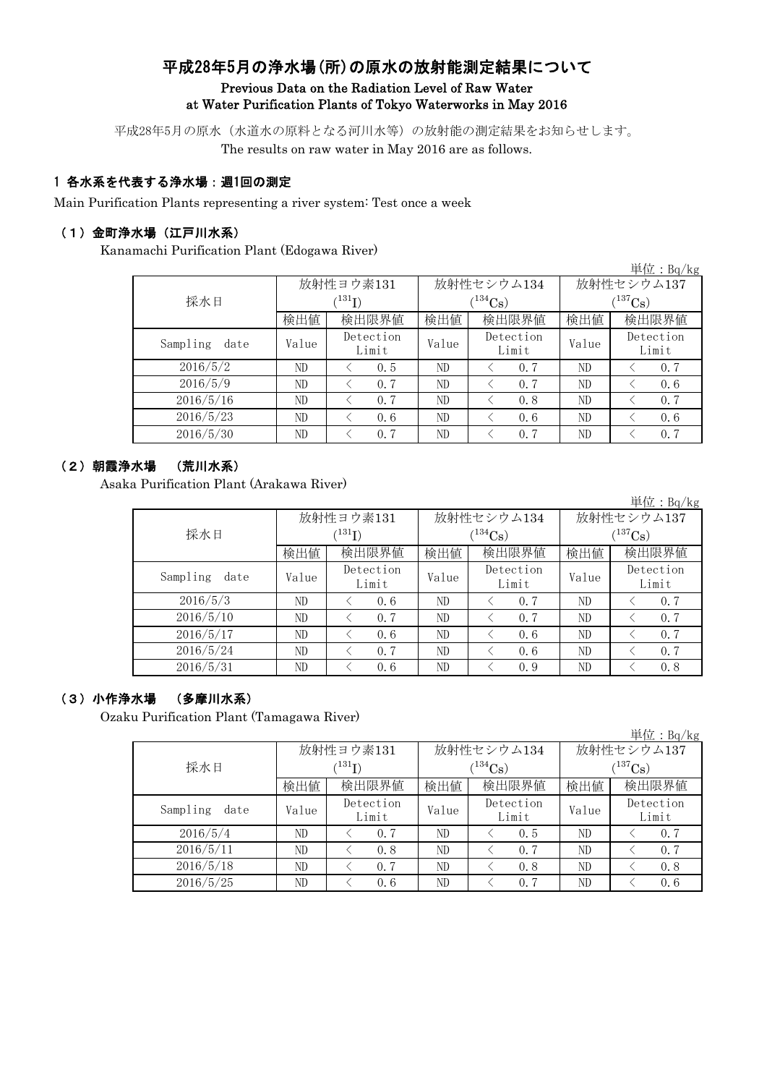## 平成28年5月の浄水場(所)の原水の放射能測定結果について Previous Data on the Radiation Level of Raw Water at Water Purification Plants of Tokyo Waterworks in May 2016

平成28年5月の原水(水道水の原料となる河川水等)の放射能の測定結果をお知らせします。

The results on raw water in May 2016 are as follows.

#### 1 各水系を代表する浄水場:週1回の測定

Main Purification Plants representing a river system: Test once a week

#### (1)金町浄水場(江戸川水系)

Kanamachi Purification Plant (Edogawa River)

|                  |       |                      |       |                    |             | 早1 $\mathcal{L}$ : Bq/Kg |  |
|------------------|-------|----------------------|-------|--------------------|-------------|--------------------------|--|
|                  |       | 放射性ヨウ素131            |       | 放射性セシウム134         | 放射性セシウム137  |                          |  |
| 採水日              |       | $(^{131}\mathrm{I})$ |       | $(134)$ Cs)        | $(137)$ Cs) |                          |  |
|                  | 検出値   | 検出限界値                | 検出値   | 検出限界値              | 検出値         | 検出限界値                    |  |
| Sampling<br>date | Value | Detection<br>Limit   | Value | Detection<br>Limit | Value       | Detection<br>Limit       |  |
| 2016/5/2         | ND    | 0.5                  | ND    | 0.7                | ND          | 0.7                      |  |
| 2016/5/9         | ND    | 0.7                  | ND    | 0.7                | ND          | 0, 6                     |  |
| 2016/5/16        | ND    | 0.7                  | ND    | 0.8                | ND          | 0.7                      |  |
| 2016/5/23        | ND    | 0, 6                 | ND    | 0.6                | ND          | 0, 6                     |  |
| 2016/5/30        | ND    | 0.7                  | ND    | 0.7                | ND          | 0.7                      |  |

#### (2)朝霞浄水場 (荒川水系)

Asaka Purification Plant (Arakawa River)

|                  |       |                            |       |                    |              | 単位: $Bq/kg$        |  |
|------------------|-------|----------------------------|-------|--------------------|--------------|--------------------|--|
|                  |       | 放射性ヨウ素131                  |       | 放射性セシウム134         | 放射性セシウム137   |                    |  |
| 採水日              |       | $^{\prime131} \mathrm{I})$ |       | $(134)$ Cs)        | $(^{137}Cs)$ |                    |  |
|                  | 検出値   | 検出限界値                      | 検出値   | 検出限界値              | 検出値          | 検出限界値              |  |
| Sampling<br>date | Value | Detection<br>Limit         | Value | Detection<br>Limit | Value        | Detection<br>Limit |  |
| 2016/5/3         | ND    | 0, 6                       | ND    | 0.7                | ND           | 0.7                |  |
| 2016/5/10        | ND    | 0.7                        | ND    | 0.7                | ND           | 0.7                |  |
| 2016/5/17        | ND    | 0.6                        | ND    | 0.6                | ND           | 0.7                |  |
| 2016/5/24        | ND    | 0, 7                       | ND    | 0.6                | ND           | 0.7                |  |
| 2016/5/31        | ND    | 0.6                        | ND    | 0.9                | ND           | 0.8                |  |

### (3)小作浄水場 (多摩川水系)

Ozaku Purification Plant (Tamagawa River)

|                  |                            |                    |       |                    |                       | 単位: $Bq/kg$        |  |
|------------------|----------------------------|--------------------|-------|--------------------|-----------------------|--------------------|--|
|                  |                            | 放射性ヨウ素131          |       | 放射性セシウム134         | 放射性セシウム137            |                    |  |
| 採水日              | $^{\prime131} \mathrm{I})$ |                    |       | $(134)$ Cs         | $(^{137}\mathrm{Cs})$ |                    |  |
|                  | 検出値                        | 検出限界値              | 検出値   | 検出限界値              | 検出値                   | 検出限界値              |  |
| Sampling<br>date | Value                      | Detection<br>Limit | Value | Detection<br>Limit | Value                 | Detection<br>Limit |  |
| 2016/5/4         | ND                         | 0.7                | ND    | 0.5                | ND                    | 0, 7               |  |
| 2016/5/11        | ND                         | 0.8                | ND    | 0.7                | ND                    | 0.7                |  |
| 2016/5/18        | ND                         | 0.7                | ND    | 0.8                | ND                    | 0.8                |  |
| 2016/5/25        | ND                         | 0.6                | ND    | 0.7                | ND                    | 0, 6               |  |

 $H/H$ :  $D=$  /1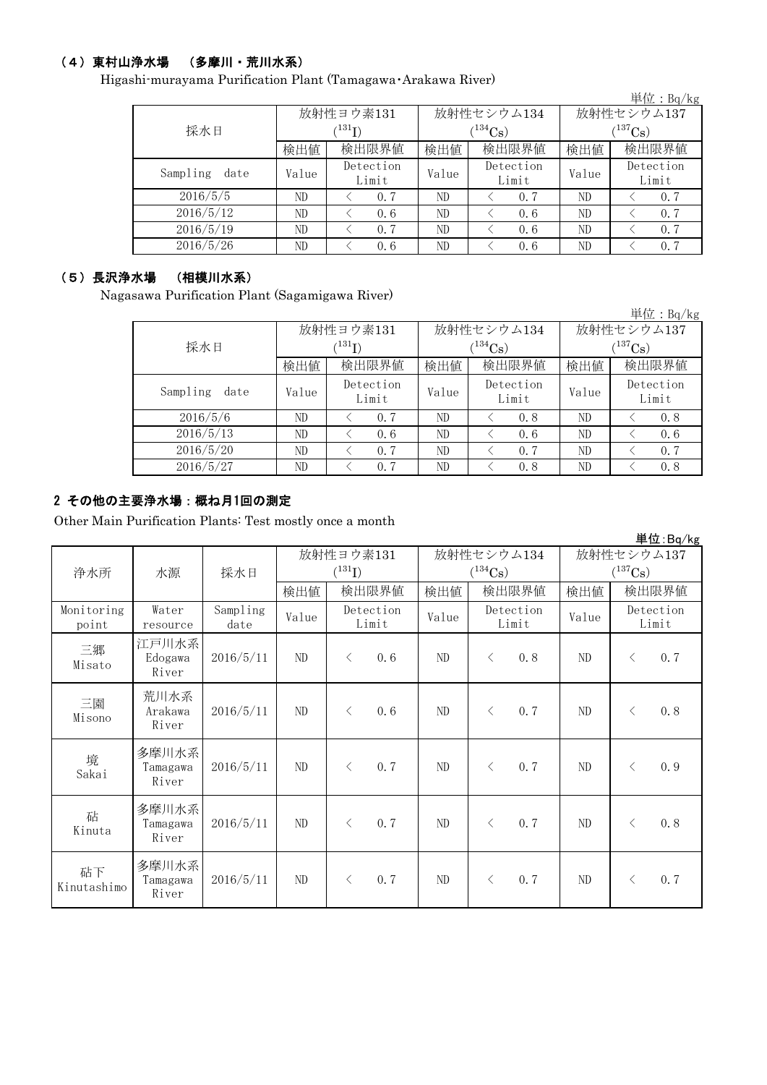## (4)東村山浄水場 (多摩川・荒川水系)

Higashi-murayama Purification Plant (Tamagawa・Arakawa River)

|                  |                             |                    |       |                    |              | 単位: $Bq/kg$        |  |
|------------------|-----------------------------|--------------------|-------|--------------------|--------------|--------------------|--|
|                  |                             | 放射性ヨウ素131          |       | 放射性セシウム134         | 放射性セシウム137   |                    |  |
| 採水日              | $^{\prime 131} \mathrm{I})$ |                    |       | $(^{134}Cs)$       | $(^{137}Cs)$ |                    |  |
|                  | 検出値                         | 検出限界値              | 検出値   | 検出限界値              | 検出値          | 検出限界値              |  |
| Sampling<br>date | Value                       | Detection<br>Limit | Value | Detection<br>Limit | Value        | Detection<br>Limit |  |
| 2016/5/5         | ND                          | 0, 7               | ND    | 0.7                | ND           | 0, 7               |  |
| 2016/5/12        | ND                          | 0.6                | ND    | 0.6                | ND           | 0.7                |  |
| 2016/5/19        | ND                          | 0.7                | ND    | 0.6                | ND           | 0.7                |  |
| 2016/5/26        | ND                          | 0.6                | ND    | 0, 6               | ND           | 0, 7               |  |

## (5)長沢浄水場 (相模川水系)

Nagasawa Purification Plant (Sagamigawa River)

|                  |       |                            |                |                    |              | $\vert \dot{\Xi} \vert \dot{\Xi}$ : Bq/kg |  |
|------------------|-------|----------------------------|----------------|--------------------|--------------|-------------------------------------------|--|
|                  |       | 放射性ヨウ素131                  |                | 放射性セシウム134         | 放射性セシウム137   |                                           |  |
| 採水日              |       | $^{\prime131} \mathrm{I})$ | $134C_{\rm S}$ |                    | $(^{137}Cs)$ |                                           |  |
|                  | 検出値   | 検出限界値                      | 検出値            | 検出限界値              | 検出値          | 検出限界値                                     |  |
| Sampling<br>date | Value | Detection<br>Limit         | Value          | Detection<br>Limit | Value        | Detection<br>Limit                        |  |
| 2016/5/6         | ND    | 0.7                        | ND             | 0.8                | ND           | 0.8                                       |  |
| 2016/5/13        | ND    | 0.6                        | ND             | 0.6                | ND           | 0, 6                                      |  |
| 2016/5/20        | ND    | 0.7                        | ND             | 0.7                | ND           | 0.7                                       |  |
| 2016/5/27        | ND    | 0.7                        | ND             | 0.8                | ND           | 0.8                                       |  |

### 2 その他の主要浄水場:概ね月1回の測定

Other Main Purification Plants: Test mostly once a month

|                     |                            |                  |       |                    |       |                       |            | 単位:Bq/kg              |
|---------------------|----------------------------|------------------|-------|--------------------|-------|-----------------------|------------|-----------------------|
|                     |                            |                  |       | 放射性ヨウ素131          |       | 放射性セシウム134            | 放射性セシウム137 |                       |
| 浄水所                 | 水源                         | 採水日              |       | $(^{131}I)$        |       | $(^{134}\mathrm{Cs})$ |            | $(^{137}\mathrm{Cs})$ |
|                     |                            |                  | 検出値   | 検出限界値              | 検出値   | 検出限界値                 | 検出値        | 検出限界値                 |
| Monitoring<br>point | Water<br>resource          | Sampling<br>date | Value | Detection<br>Limit | Value | Detection<br>Limit    | Value      | Detection<br>Limit    |
| 三郷<br>Misato        | 江戸川水系<br>Edogawa<br>River  | 2016/5/11        | ND    | 0.6<br>$\langle$   | ND    | 0.8<br>$\langle$      | ND         | 0.7<br>$\langle$      |
| 三園<br>Misono        | 荒川水系<br>Arakawa<br>River   | 2016/5/11        | ND    | 0.6<br>$\lt$       | ND    | 0.7<br>$\langle$      | $\rm ND$   | 0.8<br>$\lt$          |
| 境<br>Sakai          | 多摩川水系<br>Tamagawa<br>River | 2016/5/11        | ND    | 0.7<br>$\langle$   | ND    | 0.7<br>$\langle$      | ND         | 0.9<br>$\lt$          |
| 砧<br>Kinuta         | 多摩川水系<br>Tamagawa<br>River | 2016/5/11        | ND    | 0, 7<br>$\langle$  | ND    | 0, 7<br>$\langle$     | $\rm ND$   | 0.8<br>$\langle$      |
| 砧下<br>Kinutashimo   | 多摩川水系<br>Tamagawa<br>River | 2016/5/11        | ND    | 0.7<br>$\lt$       | ND    | 0.7<br>$\lt$          | ND         | 0.7<br>$\lt$          |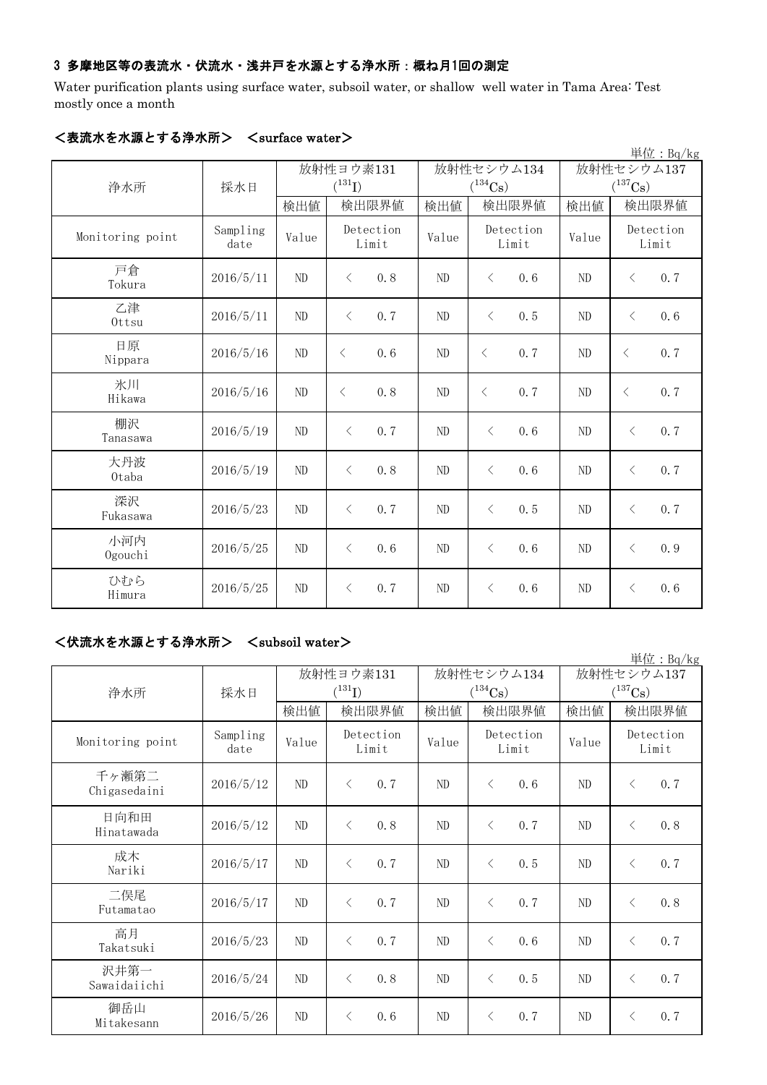## 3 多摩地区等の表流水・伏流水・浅井戸を水源とする浄水所:概ね月1回の測定

Water purification plants using surface water, subsoil water, or shallow well water in Tama Area: Test mostly once a month

|                  |                  |       |                      |       |                                |            | 単位: Bq/kg                      |
|------------------|------------------|-------|----------------------|-------|--------------------------------|------------|--------------------------------|
|                  |                  |       | 放射性ヨウ素131            |       | 放射性セシウム134                     | 放射性セシウム137 |                                |
| 浄水所              | 採水日              | 検出値   | $(^{131}I)$<br>検出限界値 | 検出値   | $(^{134}\mathrm{Cs})$<br>検出限界値 | 検出値        | $(^{137}\mathrm{Cs})$<br>検出限界値 |
| Monitoring point | Sampling<br>date | Value | Detection<br>Limit   | Value | Detection<br>Limit             | Value      | Detection<br>Limit             |
| 戸倉<br>Tokura     | 2016/5/11        | ND    | 0.8<br>$\langle$     | ND    | 0.6<br>$\lt$                   | ND         | 0.7<br>$\langle$               |
| 乙津<br>Ottsu      | 2016/5/11        | ND    | $\langle$<br>0.7     | ND    | 0.5<br>$\lt$                   | ND         | $\langle$<br>0.6               |
| 日原<br>Nippara    | 2016/5/16        | ND    | 0.6<br>$\langle$     | ND    | 0.7<br>$\langle$               | $\rm ND$   | 0.7<br>$\lt$                   |
| 氷川<br>Hikawa     | 2016/5/16        | ND    | 0, 8<br>$\langle$    | ND    | 0, 7<br>$\langle$              | ND         | 0.7<br>$\langle$               |
| 棚沢<br>Tanasawa   | 2016/5/19        | ND    | 0.7<br>$\langle$     | ND    | 0, 6<br>$\langle$              | ND         | 0.7<br>$\langle$               |
| 大丹波<br>0taba     | 2016/5/19        | ND    | 0.8<br>$\langle$     | ND    | 0.6<br>$\lt$                   | ND         | 0.7<br>$\langle$               |
| 深沢<br>Fukasawa   | 2016/5/23        | ND    | 0.7<br>$\langle$     | ND    | 0.5<br>$\langle$               | ND         | 0.7<br>$\langle$               |
| 小河内<br>Ogouchi   | 2016/5/25        | ND    | 0.6<br>$\langle$     | ND    | $\langle$<br>0.6               | ND         | 0.9<br>$\langle$               |
| ひむら<br>Himura    | 2016/5/25        | ND    | 0.7<br>$\langle$     | ND    | 0.6<br>$\lt$                   | $\rm ND$   | 0.6<br>$\langle$               |

### <表流水を水源とする浄水所> <surface water>

## <伏流水を水源とする浄水所> <subsoil water>

|                       |                  |       |                    |                |                       |            | 単位: $Bq/kg$           |
|-----------------------|------------------|-------|--------------------|----------------|-----------------------|------------|-----------------------|
|                       |                  |       | 放射性ヨウ素131          |                | 放射性セシウム134            | 放射性セシウム137 |                       |
| 浄水所                   | 採水日              |       | $(^{131}I)$        |                | $(^{134}\mathrm{Cs})$ |            | $(^{137}\mathrm{Cs})$ |
|                       |                  | 検出値   | 検出限界値              | 検出値            | 検出限界値                 | 検出値        | 検出限界値                 |
| Monitoring point      | Sampling<br>date | Value | Detection<br>Limit | Value          | Detection<br>Limit    | Value      | Detection<br>Limit    |
| 千ヶ瀬第二<br>Chigasedaini | 2016/5/12        | ND    | 0.7<br>$\langle$   | ND             | $\langle$<br>0, 6     | ND         | 0.7<br>$\langle$      |
| 日向和田<br>Hinatawada    | 2016/5/12        | ND    | $\langle$<br>0.8   | ND             | 0.7<br>$\langle$      | ND         | 0.8<br>$\langle$      |
| 成木<br>Nariki          | 2016/5/17        | ND    | 0.7<br>$\langle$   | ND             | 0.5<br>$\langle$      | ND         | 0.7<br>$\langle$      |
| 二俣尾<br>Futamatao      | 2016/5/17        | ND    | 0.7<br>$\lt$       | N <sub>D</sub> | 0.7<br>$\lt$          | ND         | 0.8<br>$\lt$          |
| 高月<br>Takatsuki       | 2016/5/23        | ND    | 0.7<br>$\lt$       | ND             | 0.6<br>$\langle$      | ND         | 0.7<br>$\langle$      |
| 沢井第一<br>Sawaidaiichi  | 2016/5/24        | ND    | 0.8<br>$\langle$   | ND             | 0.5<br>$\langle$      | $\rm ND$   | 0.7<br>$\langle$      |
| 御岳山<br>Mitakesann     | 2016/5/26        | ND    | 0.6<br>$\langle$   | ND             | 0.7<br>$\lt$          | ND         | 0.7<br>$\lt$          |